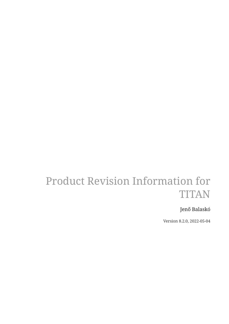# Product Revision Information for TITAN

### Jenő Balaskó

Version 8.2.0, 2022-05-04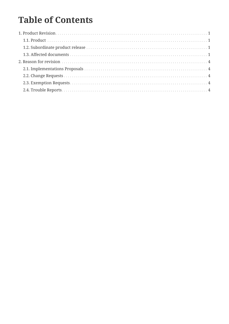# **Table of Contents**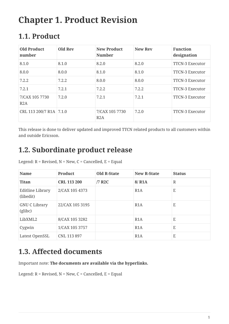# <span id="page-2-0"></span>**Chapter 1. Product Revision**

## <span id="page-2-1"></span>**1.1. Product**

| <b>Old Product</b><br>number | <b>Old Rev</b> | <b>New Product</b><br><b>Number</b> | <b>New Rev</b> | <b>Function</b><br>designation |
|------------------------------|----------------|-------------------------------------|----------------|--------------------------------|
| 8.1.0                        | 8.1.0          | 8.2.0                               | 8.2.0          | <b>TTCN-3 Executor</b>         |
| 8.0.0                        | 8.0.0          | 8.1.0                               | 8.1.0          | <b>TTCN-3 Executor</b>         |
| 7.2.2                        | 7.2.2          | 8.0.0                               | 8.0.0          | <b>TTCN-3 Executor</b>         |
| 7.2.1                        | 7.2.1          | 7.2.2                               | 7.2.2          | <b>TTCN-3 Executor</b>         |
| 7/CAX 105 7730<br>R2A        | 7.2.0          | 7.2.1                               | 7.2.1          | <b>TTCN-3 Executor</b>         |
| CRL 113 200/7 R1A 7.1.0      |                | 7/CAX 105 7730<br>R2A               | 7.2.0          | <b>TTCN-3 Executor</b>         |

This release is done to deliver updated and improved TTCN related products to all customers within and outside Ericsson.

### <span id="page-2-2"></span>**1.2. Subordinate product release**

| Legend: $R$ = Revised, $N$ = New, $C$ = Cancelled, $E$ = Equal |  |  |
|----------------------------------------------------------------|--|--|
|                                                                |  |  |

| <b>Name</b>                   | <b>Product</b>     | <b>Old R-State</b> | <b>New R-State</b> | <b>Status</b> |
|-------------------------------|--------------------|--------------------|--------------------|---------------|
| <b>Titan</b>                  | <b>CRL 113 200</b> | /7 R2C             | 8/RA               | $\mathbb{R}$  |
| Editline Library<br>(libedit) | 2/CAX 105 4373     |                    | R1A                | E             |
| GNU C Library<br>(glibc)      | 22/CAX 105 3195    |                    | R1A                | E             |
| LibXML2                       | 8/CAX 105 3282     |                    | R1A                | E             |
| Cygwin                        | 1/CAX 105 3757     |                    | R1A                | E             |
| Latest OpenSSL                | CNL 113 897        |                    | R <sub>1</sub> A   | E             |

## <span id="page-2-3"></span>**1.3. Affected documents**

Important note: **The documents are available via the hyperlinks.**

Legend:  $R$  = Revised,  $N$  = New,  $C$  = Cancelled,  $E$  = Equal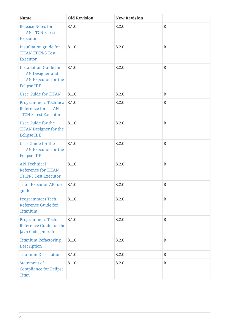| <b>Name</b>                                                                                                       | <b>Old Revision</b> | <b>New Revision</b> |              |
|-------------------------------------------------------------------------------------------------------------------|---------------------|---------------------|--------------|
| <b>Release Notes for</b><br><b>TITAN TTCN-3 Test</b><br><b>Executor</b>                                           | 8.1.0               | 8.2.0               | $\mathbb{R}$ |
| <b>Installation guide for</b><br><b>TITAN TTCN-3 Test</b><br><b>Executor</b>                                      | 8.1.0               | 8.2.0               | $\mathbb{R}$ |
| <b>Installation Guide for</b><br><b>TITAN Designer and</b><br><b>TITAN Executor for the</b><br><b>Eclipse IDE</b> | 8.1.0               | 8.2.0               | $\mathbb{R}$ |
| <b>User Guide for TITAN</b>                                                                                       | 8.1.0               | 8.2.0               | $\mathbb{R}$ |
| <b>Programmers Technical 8.1.0</b><br><b>Reference for TITAN</b><br><b>TTCN-3 Test Executor</b>                   |                     | 8.2.0               | $\mathbb{R}$ |
| <b>User Guide for the</b><br><b>TITAN Designer for the</b><br><b>Eclipse IDE</b>                                  | 8.1.0               | 8.2.0               | $\mathbb{R}$ |
| <b>User Guide for the</b><br><b>TITAN Executor for the</b><br><b>Eclipse IDE</b>                                  | 8.1.0               | 8.2.0               | $\mathbb{R}$ |
| <b>API Technical</b><br><b>Reference for TITAN</b><br><b>TTCN-3 Test Executor</b>                                 | 8.1.0               | 8.2.0               | $\mathbb{R}$ |
| Titan Executor API user 8.1.0<br>guide                                                                            |                     | 8.2.0               | $\mathbb R$  |
| Programmers Tech.<br><b>Reference Guide for</b><br><b>Titanium</b>                                                | 8.1.0               | 8.2.0               | $\mathbf R$  |
| Programmers Tech.<br>Reference Guide for the<br>Java Codegenerator                                                | 8.1.0               | 8.2.0               | $\mathbf R$  |
| <b>Titanium Refactoring</b><br>Description                                                                        | 8.1.0               | 8.2.0               | $\mathbb{R}$ |
| <b>Titanium Description</b>                                                                                       | 8.1.0               | 8.2.0               | $\mathbb{R}$ |
| <b>Statement of</b><br><b>Compliance for Eclipse</b><br><b>Titan</b>                                              | 8.1.0               | 8.2.0               | $\mathbb{R}$ |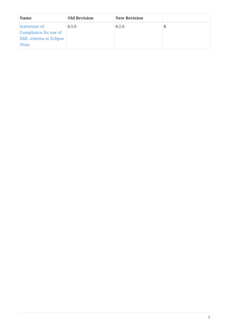| Name                                                                                  | <b>Old Revision</b> | <b>New Revision</b> |  |
|---------------------------------------------------------------------------------------|---------------------|---------------------|--|
| Statement of<br>Compliance for use of<br><b>XML</b> schema in Eclipse<br><b>Titan</b> | 8.1.0               | 8.2.0               |  |